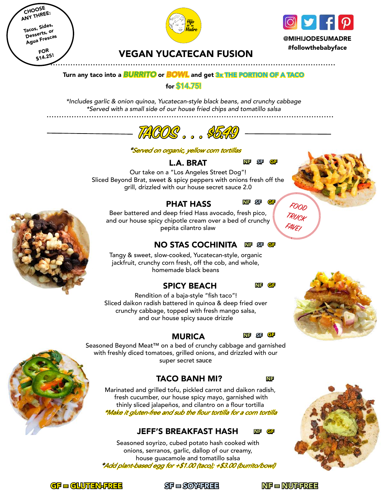CHOOSE ANY THREE: Tacos, Sides, Desserts, or Agua Frescas FOR \$14.25!





@MIHIJODESUMADRE #followthebabyface

. . . . . . . . . . . . . . . . . . .

### VEGAN YUCATECAN FUSION

#### Turn any taco into a *BURRITO* or *BOWL* and get 3x THE PORTION OF A TACO

#### for \$14.75!

*\*Includes garlic & onion quinoa, Yucatecan-style black beans, and crunchy cabbage \*Served with a small side of our house fried chips and tomatillo salsa*



#### \*Served on organic, yellow corn tortillas

L.A. BRAT

Our take on a "Los Angeles Street Dog"! Sliced Beyond Brat, sweet & spicy peppers with onions fresh off the grill, drizzled with our house secret sauce 2.0

#### PHAT HASS

Beer battered and deep fried Hass avocado, fresh pico, and our house spicy chipotle cream over a bed of crunchy pepita cilantro slaw

#### $\overline{\text{NO}}$  STAS COCHINITA ဏ $\overline{\text{SP}}$  ঞ ଙ

Tangy & sweet, slow-cooked, Yucatecan-style, organic jackfruit, crunchy corn fresh, off the cob, and whole, homemade black beans

#### SPICY BEACH

GF NF

NF

GF

**FOOD TRUCK FAVE!**

NF SF GF

SF NF

Rendition of a baja-style "fish taco"! Sliced daikon radish battered in quinoa & deep fried over crunchy cabbage, topped with fresh mango salsa, and our house spicy sauce drizzle

#### MURICA

GF SF NF

Seasoned Beyond Meat™ on a bed of crunchy cabbage and garnished with freshly diced tomatoes, grilled onions, and drizzled with our super secret **sauce**

#### TACO BANH MI?

Marinated and grilled tofu, pickled carrot and daikon radish, fresh cucumber, our house spicy mayo, garnished with thinly sliced jalapeños, and cilantro on a flour tortilla \*Make it gluten-free and sub the flour tortilla for a corn tortilla

#### JEFF'S BREAKFAST HASH GF NF

Seasoned soyrizo, cubed potato hash cooked with onions, serranos, garlic, dallop of our creamy, house guacamole and tomatillo salsa \*Add plant-based egg for +\$1.00 (taco); +\$3.00 (burrito/bowl)